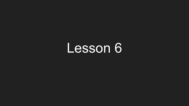## Lesson 6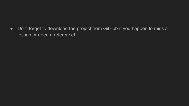• Dont forget to download the project from GitHub if you happen to miss a lesson or need a reference!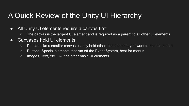#### A Quick Review of the Unity UI Hierarchy

- All Unity UI elements require a canvas first
	- The canvas is the largest UI element and is required as a parent to all other UI elements
- Canvases hold UI elements
	- Panels: Like a smaller canvas usually hold other elements that you want to be able to hide
	- Buttons: Special elements that run off the Event System, best for menus
	- Images, Text, etc… All the other basic UI elements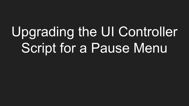# Upgrading the UI Controller Script for a Pause Menu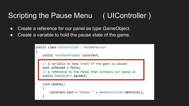### Scripting the Pause Menu ( UIController )

- Create a reference for our panel as type GameObject.
- Create a variable to hold the pause state of the game.

```
public class UIController : MonoBehaviour
    public TextMeshProUGUI coinsText;
    // A variable to keep track if the game is paused
    bool is Paused = false;A reference to the Panel that contains our pause UI
    public GameObject pauseUI;
    void Update()
        coinsText.text = "Coins: " + GameController.GetCoins();
```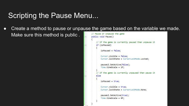#### Scripting the Pause Menu...

• Create a method to pause or unpause the game based on the variable we made.

Make sure this method is public .

```
// Pause or Unpause the game
public void Pause()
    // If the game is currently paused then unpause it
    if (isPaused)
       isPaused = false:
       Cursor.visible = false:
       Cursor.lockState = CursorLockMode.Locked;
        pauseUI.SetActive(false);
        Time.timeScale = 1f;
    // If the game is currently unpaused then pause it
    else
       isPaused = trueCursor.visible = true:
        Cursor.lockState = CursorLockMode.None:
        pauseUI.SetActive(true);
        Time.timeScale = 0f:
```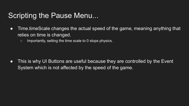#### Scripting the Pause Menu...

- Time.timeScale changes the actual speed of the game, meaning anything that relies on time is changed.
	- Importantly, setting the time scale to 0 stops physics.

• This is why UI Buttons are useful because they are controlled by the Event System which is not affected by the speed of the game.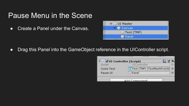#### Pause Menu in the Scene

• Create a Panel under the Canvas.



● Drag this Panel into the GameObject reference in the UIController script.

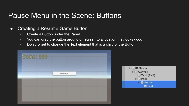#### Pause Menu in the Scene: Buttons

#### • Creating a Resume Game Button

- Create a Button under the Panel
- You can drag the button around on screen to a location that looks good
- Don't forget to change the Text element that is a child of the Button!

| Coins: 999 |        |  |  |
|------------|--------|--|--|
|            | Resume |  |  |
|            |        |  |  |
|            |        |  |  |

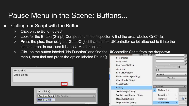#### Pause Menu in the Scene: Buttons...

#### • Calling our Script with the Button

- Click on the Button object.
- Look for the Button (Script) Component in the inspector & find the area labeled OnClick().
- Press the plus, then drag the GameObject that has the UIController script attached to it into the labeled area. In our case it is the UIMaster object.
- Click on the button labeled "No Function" and find the UIController Script from the dropdown menu, then find and press the option labeled Pause().

| On Click ()   |             |
|---------------|-------------|
| List is Empty |             |
|               |             |
|               |             |
|               | On Click () |

None (Objei $\circ$ 

| bool enabled<br>string name                                                                                 | P<br>P                                             |
|-------------------------------------------------------------------------------------------------------------|----------------------------------------------------|
| bool runinEditMode<br>string tag<br>bool useGUILayout<br>BroadcastMessage (string)<br>Cancellnvoke (string) | $\mathbf{1}$<br>0.1<br>Automatic<br>÷<br>Visualize |
| Cancellnvoke ()                                                                                             |                                                    |
| Pause ()                                                                                                    | <b>No Function</b>                                 |
| SendMessage (string)                                                                                        | No Function<br>$\checkmark$                        |
| SendMessageUpwards (string)                                                                                 | н<br>$\mathbf{r}$<br>GameObject                    |
| StopAllCoroutines ()                                                                                        | $\overline{\phantom{1}}$<br>Transform              |
| StopCoroutine (string)                                                                                      | <b>UIController</b><br>×                           |
|                                                                                                             |                                                    |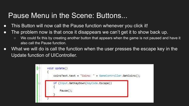#### Pause Menu in the Scene: Buttons...

- This Button will now call the Pause function whenever you click it!
- The problem now is that once it disappears we can't get it to show back up.
	- We could fix this by creating another button that appears when the game is not paused and have it also call the Pause function.
- What we will do is call the function when the user presses the escape key in the Update function of UIController.

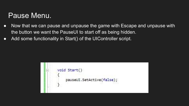#### Pause Menu.

- Now that we can pause and unpause the game with Escape and unpause with the button we want the PauseUI to start off as being hidden.
- Add some functionality in Start() of the UIController script.

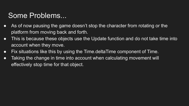#### Some Problems...

- As of now pausing the game doesn't stop the character from rotating or the platform from moving back and forth.
- This is because these objects use the Update function and do not take time into account when they move.
- Fix situations like this by using the Time.deltaTime component of Time.
- Taking the change in time into account when calculating movement will effectively stop time for that object.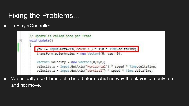#### Fixing the Problems...

● In PlayerController:

| yaw += Input.GetAxis("Mouse X") * 150 * Time.deltaTime; |
|---------------------------------------------------------|
| transform.eulerAngles = new Vector3(0, yaw, 0);         |

● We actually used Time.deltaTime before, which is why the player can only turn and not move.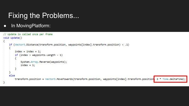#### Fixing the Problems...

• In MovingPlatform:

```
// Update is called once per frame
void Update()
    if (Vector3.Distance(transform.position, waypoints[index].transform.position) < .1)
        index = index + 1;if (index > waypoints. Length - 1)
            System.Array.Reverse(waypoints);
            index = 1;
    else
        transform.position = Vector3.MoveTowards(transform.position, waypoints[index].transform.position<mark>, 2 * Time.deltaTime);</mark>
```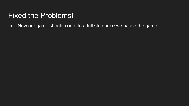#### Fixed the Problems!

● Now our game should come to a full stop once we pause the game!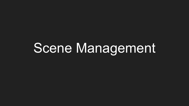## Scene Management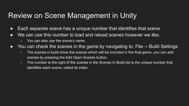#### Review on Scene Management in Unity

- Each separate scene has a unique number that identifies that scene.
- We can use this number to load and reload scenes however we like.
	- You can also use the scene's name.
- You can check the scenes in the game by navigating to: File → Build Settings
	- The scenes in build show the scenes which will be included in the final game, you can add scenes by pressing the Add Open Scenes button.
	- The number to the right of the scenes in the Scenes In Build list is the unique number that identifies each scene, called its index.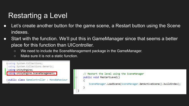### Restarting a Level

- Let's create another button for the game scene, a Restart button using the Scene indexes.
- Start with the function. We'll put this in GameManager since that seems a better place for this function than UIController.
	- We need to include the SceneManagement package in the GameManager.
	- Make sure it is not a static function.



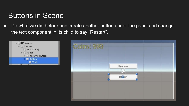#### Buttons in Scene

• Do what we did before and create another button under the panel and change the text component in its child to say "Restart".